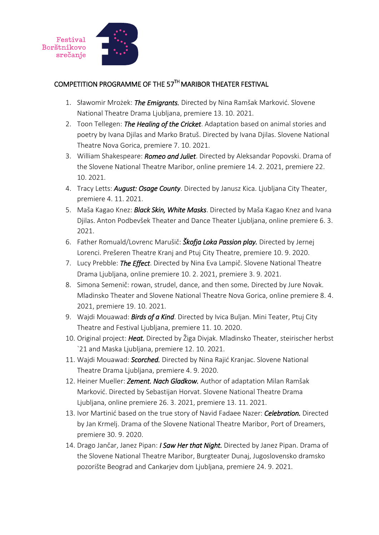



## COMPETITION PROGRAMME OF THE 57TH MARIBOR THEATER FESTIVAL

- 1. Sławomir Mrożek: *The Emigrants.* Directed by Nina Ramšak Marković. Slovene National Theatre Drama Ljubljana, premiere 13. 10. 2021.
- 2. Toon Tellegen: *The Healing of the Cricket*. Adaptation based on animal stories and poetry by Ivana Djilas and Marko Bratuš. Directed by Ivana Djilas. Slovene National Theatre Nova Gorica, premiere 7. 10. 2021.
- 3. William Shakespeare: *Romeo and Juliet*. Directed by Aleksandar Popovski. Drama of the Slovene National Theatre Maribor, online premiere 14. 2. 2021, premiere 22. 10. 2021.
- 4. Tracy Letts: *August: Osage County*. Directed by Janusz Kica. Ljubljana City Theater, premiere 4. 11. 2021.
- 5. Maša Kagao Knez: *Black Skin, White Masks*. Directed by Maša Kagao Knez and Ivana Djilas. Anton Podbevšek Theater and Dance Theater Ljubljana, online premiere 6. 3. 2021.
- 6. Father Romuald/Lovrenc Marušič: *Škofja Loka Passion play.* Directed by Jernej Lorenci. Prešeren Theatre Kranj and Ptuj City Theatre, premiere 10. 9. 2020.
- 7. Lucy Prebble: *The Effect*. Directed by Nina Eva Lampič. Slovene National Theatre Drama Ljubljana, online premiere 10. 2. 2021, premiere 3. 9. 2021.
- 8. Simona Semenič: rowan, strudel, dance, and then some*.* Directed by Jure Novak. Mladinsko Theater and Slovene National Theatre Nova Gorica, online premiere 8. 4. 2021, premiere 19. 10. 2021.
- 9. Wajdi Mouawad: *Birds of a Kind*. Directed by Ivica Buljan. Mini Teater, Ptuj City Theatre and Festival Ljubljana, premiere 11. 10. 2020.
- 10. Original project: *Heat.* Directed by Žiga Divjak. Mladinsko Theater, steirischer herbst `21 and Maska Ljubljana, premiere 12. 10. 2021.
- 11. Wajdi Mouawad: *Scorched.* Directed by Nina Rajić Kranjac. Slovene National Theatre Drama Ljubljana, premiere 4. 9. 2020.
- 12. Heiner Mueller: *Zement. Nach Gladkow.* Author of adaptation Milan Ramšak Marković. Directed by Sebastijan Horvat. Slovene National Theatre Drama Ljubljana, online premiere 26. 3. 2021, premiere 13. 11. 2021.
- 13. Ivor Martinić based on the true story of Navid Fadaee Nazer: *Celebration.* Directed by Jan Krmelj. Drama of the Slovene National Theatre Maribor, Port of Dreamers, premiere 30. 9. 2020.
- 14. Drago Jančar, Janez Pipan: *I Saw Her that Night.* Directed by Janez Pipan. Drama of the Slovene National Theatre Maribor, Burgteater Dunaj, Jugoslovensko dramsko pozorište Beograd and Cankarjev dom Ljubljana, premiere 24. 9. 2021.